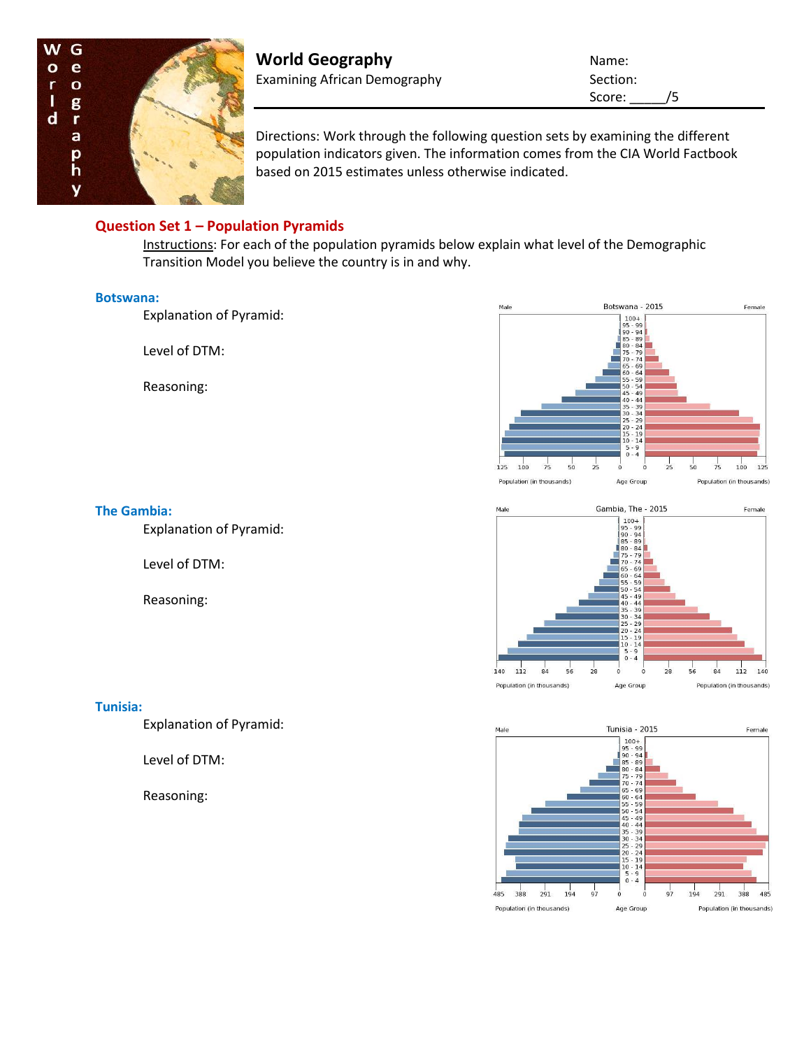

**World Geography Name:** Name: Examining African Demography Section:

Score: /5

Directions: Work through the following question sets by examining the different population indicators given. The information comes from the CIA World Factbook based on 2015 estimates unless otherwise indicated.

# **Question Set 1 – Population Pyramids**

Instructions: For each of the population pyramids below explain what level of the Demographic Transition Model you believe the country is in and why.

### **Botswana:**

Explanation of Pyramid:

Level of DTM:

Reasoning:





Explanation of Pyramid:

Level of DTM:

Reasoning:



#### **Tunisia - 2015** Male Female  $\begin{array}{c} 100+99\\ 99-94\\ 80-84\\ 80-89\\ 75-70\\ 66\\ 55-54\\ 40-44\\ 35-39\\ 20-24\\ 15-19\\ 9-4\\ 15-19\\ 9-4\\ \end{array}$  $\frac{1}{97}$  $291$ 194  $291$ 388 194  $\dot{o}$  $97$ 388 485 ..<br>485  $\dot{o}$ Population (in thousands) Age Group Population (in thousands)

### **Tunisia:**

Explanation of Pyramid:

Level of DTM:

Reasoning: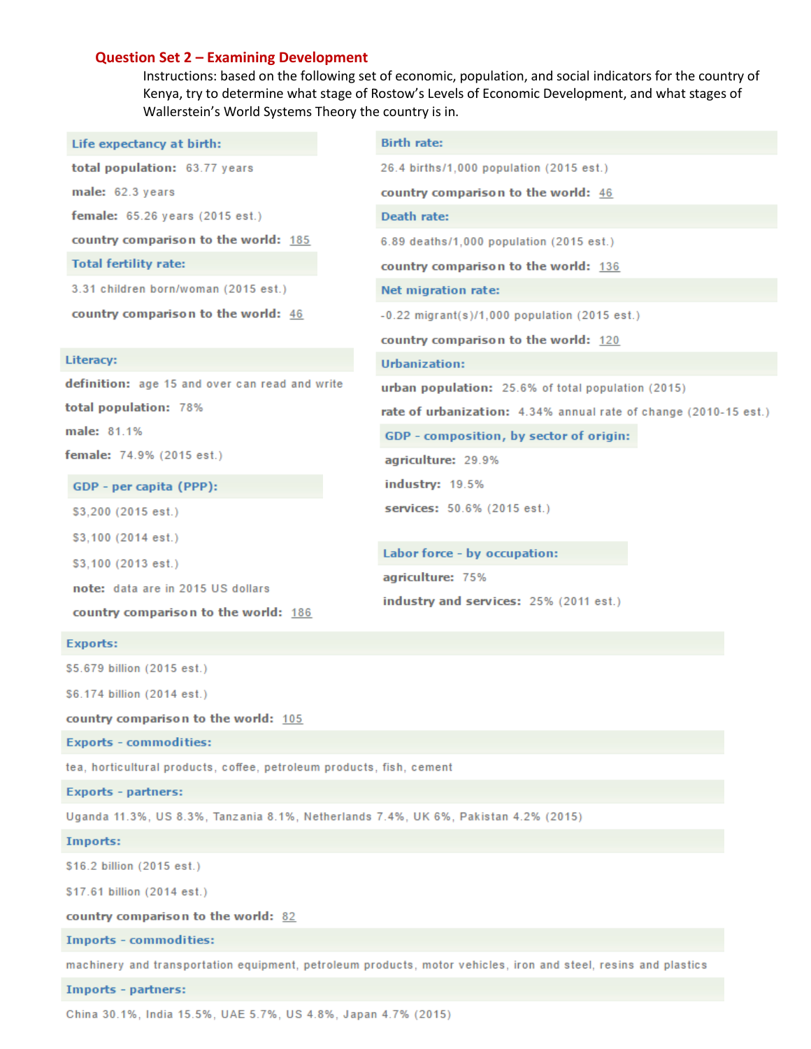### **Question Set 2 - Examining Development**

Instructions: based on the following set of economic, population, and social indicators for the country of Kenya, try to determine what stage of Rostow's Levels of Economic Development, and what stages of Wallerstein's World Systems Theory the country is in.

| Life expectancy at birth:                      | <b>Birth rate:</b>                                               |
|------------------------------------------------|------------------------------------------------------------------|
| total population: 63.77 years                  | 26.4 births/1,000 population (2015 est.)                         |
| male: 62.3 years                               | country comparison to the world: 46                              |
| female: 65.26 years (2015 est.)                | Death rate:                                                      |
| country comparison to the world: 185           | 6.89 deaths/1,000 population (2015 est.)                         |
| <b>Total fertility rate:</b>                   | country comparison to the world: 136                             |
| 3.31 children born/woman (2015 est.)           | Net migration rate:                                              |
| country comparison to the world: 46            | $-0.22$ migrant(s)/1,000 population (2015 est.)                  |
|                                                | country comparison to the world: 120                             |
| Literacy:                                      | Urbanization:                                                    |
|                                                |                                                                  |
| definition: age 15 and over can read and write | urban population: 25.6% of total population (2015)               |
| total population: 78%                          | rate of urbanization: 4.34% annual rate of change (2010-15 est.) |
| male: 81.1%                                    | GDP - composition, by sector of origin:                          |
| f <b>emale:</b> 74.9% (2015 est.)              | agriculture: 29.9%                                               |
| GDP - per capita (PPP):                        | <b>industry: 19.5%</b>                                           |
| \$3,200 (2015 est.)                            | services: 50.6% (2015 est.)                                      |
| \$3,100 (2014 est.)                            |                                                                  |
| \$3,100 (2013 est.)                            | Labor force - by occupation:                                     |
| note: data are in 2015 US dollars              | agriculture: 75%                                                 |

### **Exports:**

\$5.679 billion (2015 est.)

\$6.174 billion (2014 est.)

country comparison to the world: 105

**Exports - commodities:** 

tea, horticultural products, coffee, petroleum products, fish, cement

**Exports - partners:** 

Uganda 11.3%, US 8.3%, Tanzania 8.1%, Netherlands 7.4%, UK 6%, Pakistan 4.2% (2015)

#### **Imports:**

\$16.2 billion (2015 est.)

\$17.61 billion (2014 est.)

country comparison to the world: 82

**Imports - commodities:** 

machinery and transportation equipment, petroleum products, motor vehicles, iron and steel, resins and plastics

#### **Imports - partners:**

China 30.1%, India 15.5%, UAE 5.7%, US 4.8%, Japan 4.7% (2015)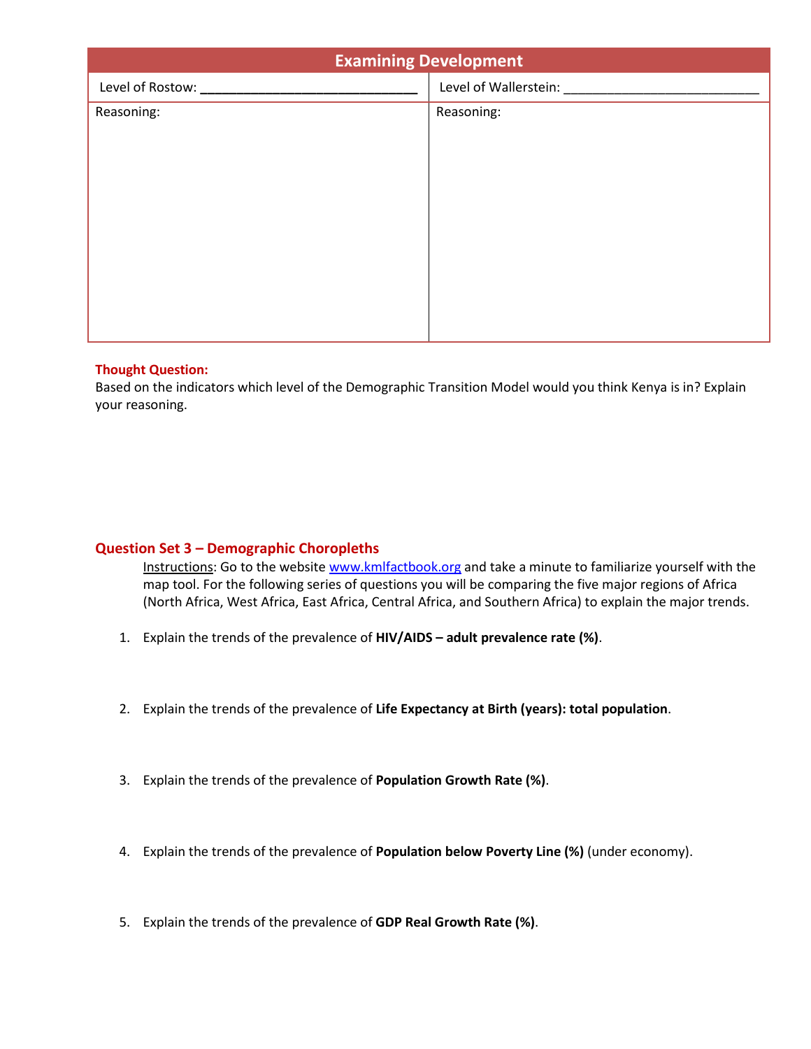| <b>Examining Development</b> |                                     |
|------------------------------|-------------------------------------|
|                              | Level of Wallerstein: New York 1999 |
| Reasoning:                   | Reasoning:                          |
|                              |                                     |
|                              |                                     |
|                              |                                     |
|                              |                                     |
|                              |                                     |
|                              |                                     |
|                              |                                     |
|                              |                                     |
|                              |                                     |

# **Thought Question:**

Based on the indicators which level of the Demographic Transition Model would you think Kenya is in? Explain your reasoning.

# **Question Set 3 – Demographic Choropleths**

Instructions: Go to the websit[e www.kmlfactbook.org](http://www.kmlfactbook.org/) and take a minute to familiarize yourself with the map tool. For the following series of questions you will be comparing the five major regions of Africa (North Africa, West Africa, East Africa, Central Africa, and Southern Africa) to explain the major trends.

- 1. Explain the trends of the prevalence of **HIV/AIDS – adult prevalence rate (%)**.
- 2. Explain the trends of the prevalence of **Life Expectancy at Birth (years): total population**.
- 3. Explain the trends of the prevalence of **Population Growth Rate (%)**.
- 4. Explain the trends of the prevalence of **Population below Poverty Line (%)** (under economy).
- 5. Explain the trends of the prevalence of **GDP Real Growth Rate (%)**.